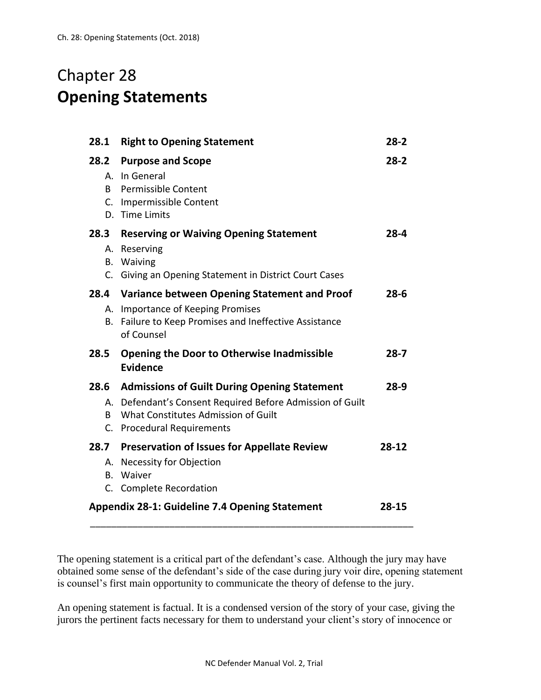## Chapter 28 **Opening Statements**

| 28.1                                                                             | <b>Right to Opening Statement</b>                                                                                                                                                   | $28-2$   |
|----------------------------------------------------------------------------------|-------------------------------------------------------------------------------------------------------------------------------------------------------------------------------------|----------|
| 28.2<br>А.<br>B.                                                                 | <b>Purpose and Scope</b><br>In General<br><b>Permissible Content</b><br>C. Impermissible Content<br>D. Time Limits                                                                  | $28-2$   |
| 28.3<br>А.<br>В.<br>C.                                                           | <b>Reserving or Waiving Opening Statement</b><br>Reserving<br>Waiving<br>Giving an Opening Statement in District Court Cases                                                        | $28 - 4$ |
| 28.4<br>В.                                                                       | Variance between Opening Statement and Proof<br>A. Importance of Keeping Promises<br>Failure to Keep Promises and Ineffective Assistance<br>of Counsel                              | $28 - 6$ |
| 28.5                                                                             | <b>Opening the Door to Otherwise Inadmissible</b><br><b>Evidence</b>                                                                                                                | $28 - 7$ |
| B.                                                                               | 28.6 Admissions of Guilt During Opening Statement<br>A. Defendant's Consent Required Before Admission of Guilt<br>What Constitutes Admission of Guilt<br>C. Procedural Requirements | $28-9$   |
| 28.7<br>В.                                                                       | <b>Preservation of Issues for Appellate Review</b><br>A. Necessity for Objection<br>Waiver                                                                                          | 28-12    |
| C. Complete Recordation<br><b>Appendix 28-1: Guideline 7.4 Opening Statement</b> |                                                                                                                                                                                     | 28-15    |

The opening statement is a critical part of the defendant's case. Although the jury may have obtained some sense of the defendant's side of the case during jury voir dire, opening statement is counsel's first main opportunity to communicate the theory of defense to the jury.

An opening statement is factual. It is a condensed version of the story of your case, giving the jurors the pertinent facts necessary for them to understand your client's story of innocence or